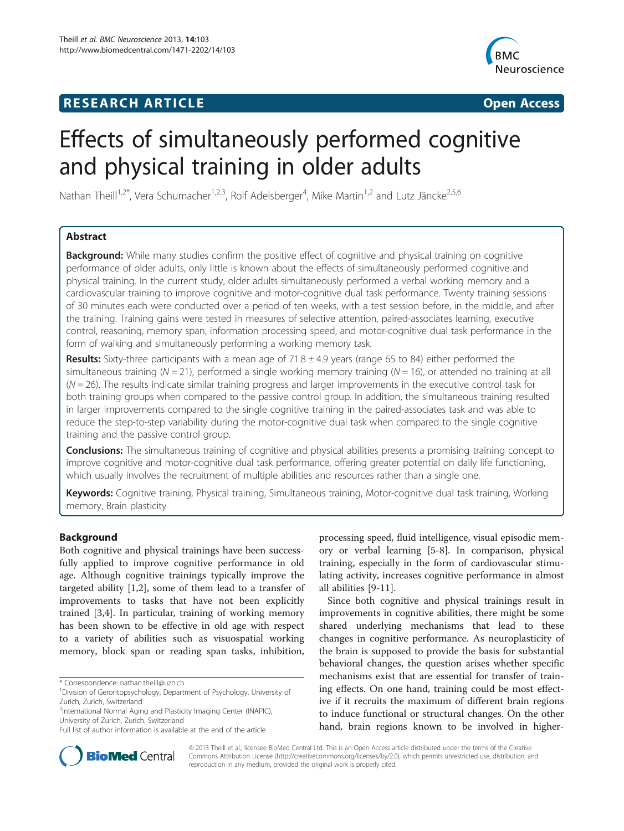# **RESEARCH ARTICLE Example 2014 12:30 The SEAR CH ACCESS**



# Effects of simultaneously performed cognitive and physical training in older adults

Nathan Theill<sup>1,2\*</sup>, Vera Schumacher<sup>1,2,3</sup>, Rolf Adelsberger<sup>4</sup>, Mike Martin<sup>1,2</sup> and Lutz Jäncke<sup>2,5,6</sup>

# Abstract

**Background:** While many studies confirm the positive effect of cognitive and physical training on cognitive performance of older adults, only little is known about the effects of simultaneously performed cognitive and physical training. In the current study, older adults simultaneously performed a verbal working memory and a cardiovascular training to improve cognitive and motor-cognitive dual task performance. Twenty training sessions of 30 minutes each were conducted over a period of ten weeks, with a test session before, in the middle, and after the training. Training gains were tested in measures of selective attention, paired-associates learning, executive control, reasoning, memory span, information processing speed, and motor-cognitive dual task performance in the form of walking and simultaneously performing a working memory task.

**Results:** Sixty-three participants with a mean age of  $71.8 \pm 4.9$  years (range 65 to 84) either performed the simultaneous training ( $N = 21$ ), performed a single working memory training ( $N = 16$ ), or attended no training at all  $(N = 26)$ . The results indicate similar training progress and larger improvements in the executive control task for both training groups when compared to the passive control group. In addition, the simultaneous training resulted in larger improvements compared to the single cognitive training in the paired-associates task and was able to reduce the step-to-step variability during the motor-cognitive dual task when compared to the single cognitive training and the passive control group.

Conclusions: The simultaneous training of cognitive and physical abilities presents a promising training concept to improve cognitive and motor-cognitive dual task performance, offering greater potential on daily life functioning, which usually involves the recruitment of multiple abilities and resources rather than a single one.

Keywords: Cognitive training, Physical training, Simultaneous training, Motor-cognitive dual task training, Working memory, Brain plasticity

# Background

Both cognitive and physical trainings have been successfully applied to improve cognitive performance in old age. Although cognitive trainings typically improve the targeted ability [[1,2\]](#page-11-0), some of them lead to a transfer of improvements to tasks that have not been explicitly trained [[3,4\]](#page-11-0). In particular, training of working memory has been shown to be effective in old age with respect to a variety of abilities such as visuospatial working memory, block span or reading span tasks, inhibition,

processing speed, fluid intelligence, visual episodic memory or verbal learning [\[5](#page-11-0)-[8\]](#page-11-0). In comparison, physical training, especially in the form of cardiovascular stimulating activity, increases cognitive performance in almost all abilities [\[9](#page-11-0)-[11\]](#page-11-0).

Since both cognitive and physical trainings result in improvements in cognitive abilities, there might be some shared underlying mechanisms that lead to these changes in cognitive performance. As neuroplasticity of the brain is supposed to provide the basis for substantial behavioral changes, the question arises whether specific mechanisms exist that are essential for transfer of training effects. On one hand, training could be most effective if it recruits the maximum of different brain regions to induce functional or structural changes. On the other hand, brain regions known to be involved in higher-



© 2013 Theill et al.; licensee BioMed Central Ltd. This is an Open Access article distributed under the terms of the Creative Commons Attribution License [\(http://creativecommons.org/licenses/by/2.0\)](http://creativecommons.org/licenses/by/2.0), which permits unrestricted use, distribution, and reproduction in any medium, provided the original work is properly cited.

<sup>\*</sup> Correspondence: [nathan.theill@uzh.ch](mailto:nathan.theill@uzh.ch) <sup>1</sup>

<sup>&</sup>lt;sup>1</sup>Division of Gerontopsychology, Department of Psychology, University of Zurich, Zurich, Switzerland

<sup>2</sup> International Normal Aging and Plasticity Imaging Center (INAPIC), University of Zurich, Zurich, Switzerland

Full list of author information is available at the end of the article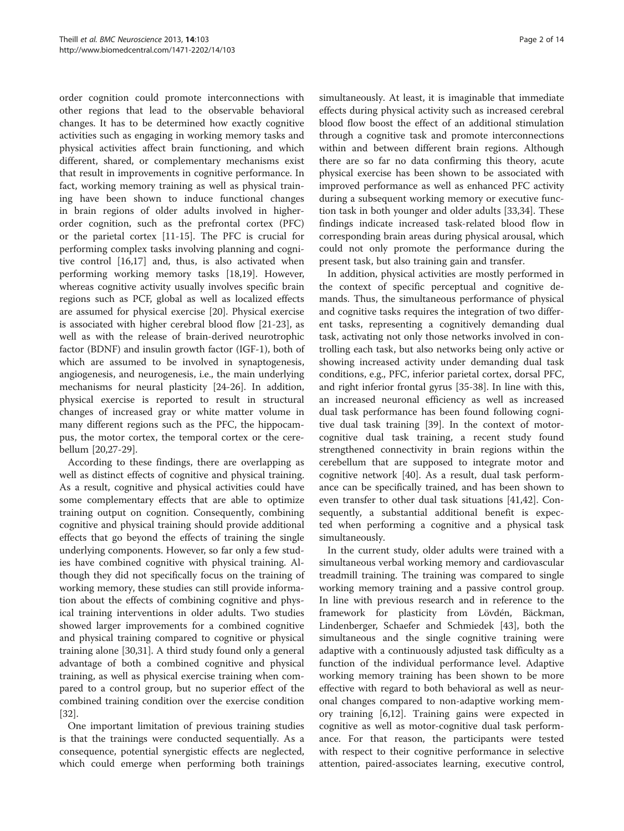order cognition could promote interconnections with other regions that lead to the observable behavioral changes. It has to be determined how exactly cognitive activities such as engaging in working memory tasks and physical activities affect brain functioning, and which different, shared, or complementary mechanisms exist that result in improvements in cognitive performance. In fact, working memory training as well as physical training have been shown to induce functional changes in brain regions of older adults involved in higherorder cognition, such as the prefrontal cortex (PFC) or the parietal cortex [[11-](#page-11-0)[15](#page-12-0)]. The PFC is crucial for performing complex tasks involving planning and cognitive control [\[16,17\]](#page-12-0) and, thus, is also activated when performing working memory tasks [[18,19\]](#page-12-0). However, whereas cognitive activity usually involves specific brain regions such as PCF, global as well as localized effects are assumed for physical exercise [[20](#page-12-0)]. Physical exercise is associated with higher cerebral blood flow [\[21-23](#page-12-0)], as well as with the release of brain-derived neurotrophic factor (BDNF) and insulin growth factor (IGF-1), both of which are assumed to be involved in synaptogenesis, angiogenesis, and neurogenesis, i.e., the main underlying mechanisms for neural plasticity [\[24](#page-12-0)-[26\]](#page-12-0). In addition, physical exercise is reported to result in structural changes of increased gray or white matter volume in many different regions such as the PFC, the hippocampus, the motor cortex, the temporal cortex or the cerebellum [[20,27-29](#page-12-0)].

According to these findings, there are overlapping as well as distinct effects of cognitive and physical training. As a result, cognitive and physical activities could have some complementary effects that are able to optimize training output on cognition. Consequently, combining cognitive and physical training should provide additional effects that go beyond the effects of training the single underlying components. However, so far only a few studies have combined cognitive with physical training. Although they did not specifically focus on the training of working memory, these studies can still provide information about the effects of combining cognitive and physical training interventions in older adults. Two studies showed larger improvements for a combined cognitive and physical training compared to cognitive or physical training alone [\[30,31](#page-12-0)]. A third study found only a general advantage of both a combined cognitive and physical training, as well as physical exercise training when compared to a control group, but no superior effect of the combined training condition over the exercise condition [[32\]](#page-12-0).

One important limitation of previous training studies is that the trainings were conducted sequentially. As a consequence, potential synergistic effects are neglected, which could emerge when performing both trainings

simultaneously. At least, it is imaginable that immediate effects during physical activity such as increased cerebral blood flow boost the effect of an additional stimulation through a cognitive task and promote interconnections within and between different brain regions. Although there are so far no data confirming this theory, acute physical exercise has been shown to be associated with improved performance as well as enhanced PFC activity during a subsequent working memory or executive function task in both younger and older adults [\[33,34\]](#page-12-0). These findings indicate increased task-related blood flow in corresponding brain areas during physical arousal, which could not only promote the performance during the present task, but also training gain and transfer.

In addition, physical activities are mostly performed in the context of specific perceptual and cognitive demands. Thus, the simultaneous performance of physical and cognitive tasks requires the integration of two different tasks, representing a cognitively demanding dual task, activating not only those networks involved in controlling each task, but also networks being only active or showing increased activity under demanding dual task conditions, e.g., PFC, inferior parietal cortex, dorsal PFC, and right inferior frontal gyrus [\[35-38](#page-12-0)]. In line with this, an increased neuronal efficiency as well as increased dual task performance has been found following cognitive dual task training [[39\]](#page-12-0). In the context of motorcognitive dual task training, a recent study found strengthened connectivity in brain regions within the cerebellum that are supposed to integrate motor and cognitive network [[40\]](#page-12-0). As a result, dual task performance can be specifically trained, and has been shown to even transfer to other dual task situations [\[41,42\]](#page-12-0). Consequently, a substantial additional benefit is expected when performing a cognitive and a physical task simultaneously.

In the current study, older adults were trained with a simultaneous verbal working memory and cardiovascular treadmill training. The training was compared to single working memory training and a passive control group. In line with previous research and in reference to the framework for plasticity from Lövdén, Bäckman, Lindenberger, Schaefer and Schmiedek [[43](#page-12-0)], both the simultaneous and the single cognitive training were adaptive with a continuously adjusted task difficulty as a function of the individual performance level. Adaptive working memory training has been shown to be more effective with regard to both behavioral as well as neuronal changes compared to non-adaptive working memory training [\[6](#page-11-0),[12](#page-11-0)]. Training gains were expected in cognitive as well as motor-cognitive dual task performance. For that reason, the participants were tested with respect to their cognitive performance in selective attention, paired-associates learning, executive control,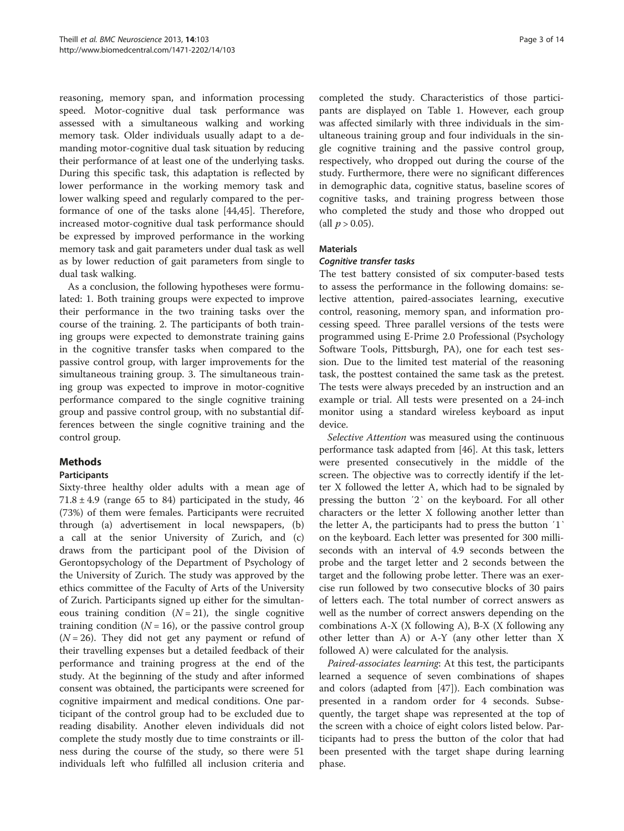reasoning, memory span, and information processing speed. Motor-cognitive dual task performance was assessed with a simultaneous walking and working memory task. Older individuals usually adapt to a demanding motor-cognitive dual task situation by reducing their performance of at least one of the underlying tasks. During this specific task, this adaptation is reflected by lower performance in the working memory task and lower walking speed and regularly compared to the performance of one of the tasks alone [\[44,45](#page-12-0)]. Therefore, increased motor-cognitive dual task performance should be expressed by improved performance in the working memory task and gait parameters under dual task as well as by lower reduction of gait parameters from single to dual task walking.

As a conclusion, the following hypotheses were formulated: 1. Both training groups were expected to improve their performance in the two training tasks over the course of the training. 2. The participants of both training groups were expected to demonstrate training gains in the cognitive transfer tasks when compared to the passive control group, with larger improvements for the simultaneous training group. 3. The simultaneous training group was expected to improve in motor-cognitive performance compared to the single cognitive training group and passive control group, with no substantial differences between the single cognitive training and the control group.

# Methods

# **Participants**

Sixty-three healthy older adults with a mean age of  $71.8 \pm 4.9$  (range 65 to 84) participated in the study, 46 (73%) of them were females. Participants were recruited through (a) advertisement in local newspapers, (b) a call at the senior University of Zurich, and (c) draws from the participant pool of the Division of Gerontopsychology of the Department of Psychology of the University of Zurich. The study was approved by the ethics committee of the Faculty of Arts of the University of Zurich. Participants signed up either for the simultaneous training condition  $(N = 21)$ , the single cognitive training condition ( $N = 16$ ), or the passive control group  $(N = 26)$ . They did not get any payment or refund of their travelling expenses but a detailed feedback of their performance and training progress at the end of the study. At the beginning of the study and after informed consent was obtained, the participants were screened for cognitive impairment and medical conditions. One participant of the control group had to be excluded due to reading disability. Another eleven individuals did not complete the study mostly due to time constraints or illness during the course of the study, so there were 51 individuals left who fulfilled all inclusion criteria and

completed the study. Characteristics of those participants are displayed on Table [1](#page-3-0). However, each group was affected similarly with three individuals in the simultaneous training group and four individuals in the single cognitive training and the passive control group, respectively, who dropped out during the course of the study. Furthermore, there were no significant differences in demographic data, cognitive status, baseline scores of cognitive tasks, and training progress between those who completed the study and those who dropped out (all  $p > 0.05$ ).

# **Materials**

# Cognitive transfer tasks

The test battery consisted of six computer-based tests to assess the performance in the following domains: selective attention, paired-associates learning, executive control, reasoning, memory span, and information processing speed. Three parallel versions of the tests were programmed using E-Prime 2.0 Professional (Psychology Software Tools, Pittsburgh, PA), one for each test session. Due to the limited test material of the reasoning task, the posttest contained the same task as the pretest. The tests were always preceded by an instruction and an example or trial. All tests were presented on a 24-inch monitor using a standard wireless keyboard as input device.

Selective Attention was measured using the continuous performance task adapted from [\[46\]](#page-12-0). At this task, letters were presented consecutively in the middle of the screen. The objective was to correctly identify if the letter X followed the letter A, which had to be signaled by pressing the button '2' on the keyboard. For all other characters or the letter X following another letter than the letter A, the participants had to press the button ′1‵ on the keyboard. Each letter was presented for 300 milliseconds with an interval of 4.9 seconds between the probe and the target letter and 2 seconds between the target and the following probe letter. There was an exercise run followed by two consecutive blocks of 30 pairs of letters each. The total number of correct answers as well as the number of correct answers depending on the combinations A-X (X following A), B-X (X following any other letter than A) or A-Y (any other letter than X followed A) were calculated for the analysis.

Paired-associates learning: At this test, the participants learned a sequence of seven combinations of shapes and colors (adapted from [\[47](#page-12-0)]). Each combination was presented in a random order for 4 seconds. Subsequently, the target shape was represented at the top of the screen with a choice of eight colors listed below. Participants had to press the button of the color that had been presented with the target shape during learning phase.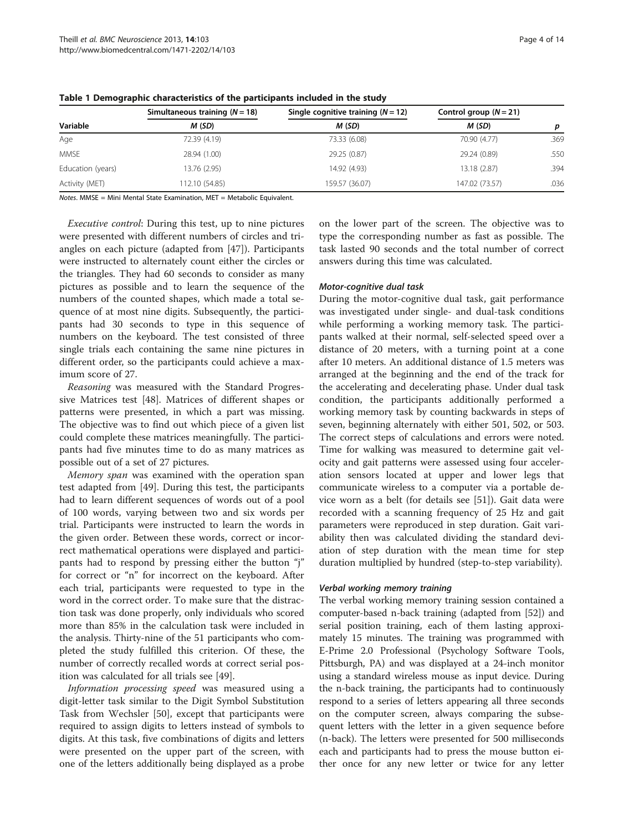|                   | Simultaneous training $(N = 18)$ | Single cognitive training $(N = 12)$ | Control group $(N = 21)$ | p    |  |  |
|-------------------|----------------------------------|--------------------------------------|--------------------------|------|--|--|
| Variable          | M (SD)                           | M (SD)                               | M (SD)                   |      |  |  |
| Age               | 72.39 (4.19)                     | 73.33 (6.08)                         | 70.90 (4.77)             | .369 |  |  |
| <b>MMSE</b>       | 28.94 (1.00)                     | 29.25 (0.87)                         | 29.24 (0.89)             | .550 |  |  |
| Education (years) | 13.76 (2.95)                     | 14.92 (4.93)                         | 13.18 (2.87)             | .394 |  |  |
| Activity (MET)    | 112.10 (54.85)                   | 159.57 (36.07)                       | 147.02 (73.57)           | .036 |  |  |

<span id="page-3-0"></span>Table 1 Demographic characteristics of the participants included in the study

Notes. MMSE = Mini Mental State Examination, MET = Metabolic Equivalent.

Executive control: During this test, up to nine pictures were presented with different numbers of circles and triangles on each picture (adapted from [\[47\]](#page-12-0)). Participants were instructed to alternately count either the circles or the triangles. They had 60 seconds to consider as many pictures as possible and to learn the sequence of the numbers of the counted shapes, which made a total sequence of at most nine digits. Subsequently, the participants had 30 seconds to type in this sequence of numbers on the keyboard. The test consisted of three single trials each containing the same nine pictures in different order, so the participants could achieve a maximum score of 27.

Reasoning was measured with the Standard Progressive Matrices test [[48\]](#page-12-0). Matrices of different shapes or patterns were presented, in which a part was missing. The objective was to find out which piece of a given list could complete these matrices meaningfully. The participants had five minutes time to do as many matrices as possible out of a set of 27 pictures.

Memory span was examined with the operation span test adapted from [[49](#page-12-0)]. During this test, the participants had to learn different sequences of words out of a pool of 100 words, varying between two and six words per trial. Participants were instructed to learn the words in the given order. Between these words, correct or incorrect mathematical operations were displayed and participants had to respond by pressing either the button "j" for correct or "n" for incorrect on the keyboard. After each trial, participants were requested to type in the word in the correct order. To make sure that the distraction task was done properly, only individuals who scored more than 85% in the calculation task were included in the analysis. Thirty-nine of the 51 participants who completed the study fulfilled this criterion. Of these, the number of correctly recalled words at correct serial position was calculated for all trials see [\[49\]](#page-12-0).

Information processing speed was measured using a digit-letter task similar to the Digit Symbol Substitution Task from Wechsler [\[50](#page-12-0)], except that participants were required to assign digits to letters instead of symbols to digits. At this task, five combinations of digits and letters were presented on the upper part of the screen, with one of the letters additionally being displayed as a probe on the lower part of the screen. The objective was to type the corresponding number as fast as possible. The task lasted 90 seconds and the total number of correct answers during this time was calculated.

#### Motor-cognitive dual task

During the motor-cognitive dual task, gait performance was investigated under single- and dual-task conditions while performing a working memory task. The participants walked at their normal, self-selected speed over a distance of 20 meters, with a turning point at a cone after 10 meters. An additional distance of 1.5 meters was arranged at the beginning and the end of the track for the accelerating and decelerating phase. Under dual task condition, the participants additionally performed a working memory task by counting backwards in steps of seven, beginning alternately with either 501, 502, or 503. The correct steps of calculations and errors were noted. Time for walking was measured to determine gait velocity and gait patterns were assessed using four acceleration sensors located at upper and lower legs that communicate wireless to a computer via a portable device worn as a belt (for details see [\[51](#page-12-0)]). Gait data were recorded with a scanning frequency of 25 Hz and gait parameters were reproduced in step duration. Gait variability then was calculated dividing the standard deviation of step duration with the mean time for step duration multiplied by hundred (step-to-step variability).

# Verbal working memory training

The verbal working memory training session contained a computer-based n-back training (adapted from [\[52\]](#page-12-0)) and serial position training, each of them lasting approximately 15 minutes. The training was programmed with E-Prime 2.0 Professional (Psychology Software Tools, Pittsburgh, PA) and was displayed at a 24-inch monitor using a standard wireless mouse as input device. During the n-back training, the participants had to continuously respond to a series of letters appearing all three seconds on the computer screen, always comparing the subsequent letters with the letter in a given sequence before (n-back). The letters were presented for 500 milliseconds each and participants had to press the mouse button either once for any new letter or twice for any letter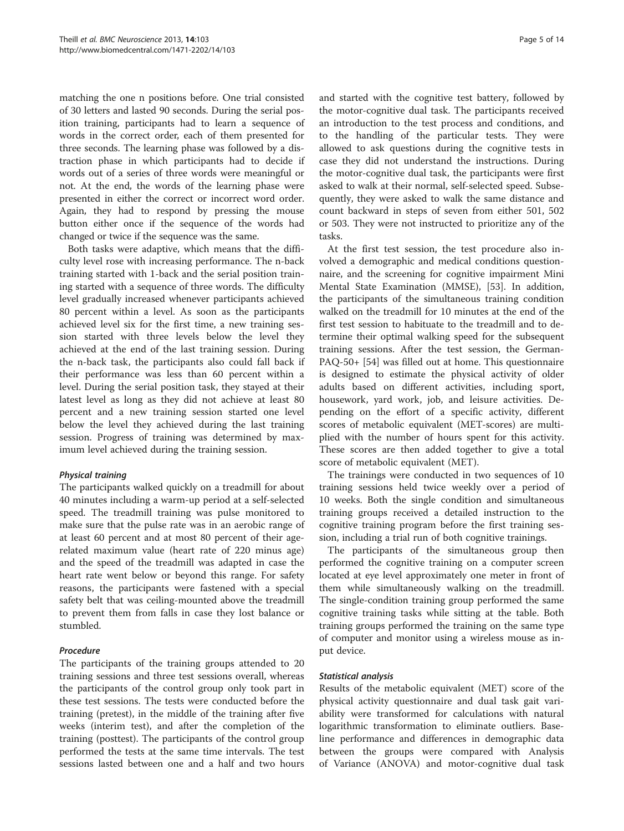matching the one n positions before. One trial consisted of 30 letters and lasted 90 seconds. During the serial position training, participants had to learn a sequence of words in the correct order, each of them presented for three seconds. The learning phase was followed by a distraction phase in which participants had to decide if words out of a series of three words were meaningful or not. At the end, the words of the learning phase were presented in either the correct or incorrect word order. Again, they had to respond by pressing the mouse button either once if the sequence of the words had changed or twice if the sequence was the same.

Both tasks were adaptive, which means that the difficulty level rose with increasing performance. The n-back training started with 1-back and the serial position training started with a sequence of three words. The difficulty level gradually increased whenever participants achieved 80 percent within a level. As soon as the participants achieved level six for the first time, a new training session started with three levels below the level they achieved at the end of the last training session. During the n-back task, the participants also could fall back if their performance was less than 60 percent within a level. During the serial position task, they stayed at their latest level as long as they did not achieve at least 80 percent and a new training session started one level below the level they achieved during the last training session. Progress of training was determined by maximum level achieved during the training session.

# Physical training

The participants walked quickly on a treadmill for about 40 minutes including a warm-up period at a self-selected speed. The treadmill training was pulse monitored to make sure that the pulse rate was in an aerobic range of at least 60 percent and at most 80 percent of their agerelated maximum value (heart rate of 220 minus age) and the speed of the treadmill was adapted in case the heart rate went below or beyond this range. For safety reasons, the participants were fastened with a special safety belt that was ceiling-mounted above the treadmill to prevent them from falls in case they lost balance or stumbled.

# Procedure

The participants of the training groups attended to 20 training sessions and three test sessions overall, whereas the participants of the control group only took part in these test sessions. The tests were conducted before the training (pretest), in the middle of the training after five weeks (interim test), and after the completion of the training (posttest). The participants of the control group performed the tests at the same time intervals. The test sessions lasted between one and a half and two hours

and started with the cognitive test battery, followed by the motor-cognitive dual task. The participants received an introduction to the test process and conditions, and to the handling of the particular tests. They were allowed to ask questions during the cognitive tests in case they did not understand the instructions. During the motor-cognitive dual task, the participants were first asked to walk at their normal, self-selected speed. Subsequently, they were asked to walk the same distance and count backward in steps of seven from either 501, 502 or 503. They were not instructed to prioritize any of the tasks.

At the first test session, the test procedure also involved a demographic and medical conditions questionnaire, and the screening for cognitive impairment Mini Mental State Examination (MMSE), [[53\]](#page-12-0). In addition, the participants of the simultaneous training condition walked on the treadmill for 10 minutes at the end of the first test session to habituate to the treadmill and to determine their optimal walking speed for the subsequent training sessions. After the test session, the German-PAQ-50+ [[54](#page-12-0)] was filled out at home. This questionnaire is designed to estimate the physical activity of older adults based on different activities, including sport, housework, yard work, job, and leisure activities. Depending on the effort of a specific activity, different scores of metabolic equivalent (MET-scores) are multiplied with the number of hours spent for this activity. These scores are then added together to give a total score of metabolic equivalent (MET).

The trainings were conducted in two sequences of 10 training sessions held twice weekly over a period of 10 weeks. Both the single condition and simultaneous training groups received a detailed instruction to the cognitive training program before the first training session, including a trial run of both cognitive trainings.

The participants of the simultaneous group then performed the cognitive training on a computer screen located at eye level approximately one meter in front of them while simultaneously walking on the treadmill. The single-condition training group performed the same cognitive training tasks while sitting at the table. Both training groups performed the training on the same type of computer and monitor using a wireless mouse as input device.

#### Statistical analysis

Results of the metabolic equivalent (MET) score of the physical activity questionnaire and dual task gait variability were transformed for calculations with natural logarithmic transformation to eliminate outliers. Baseline performance and differences in demographic data between the groups were compared with Analysis of Variance (ANOVA) and motor-cognitive dual task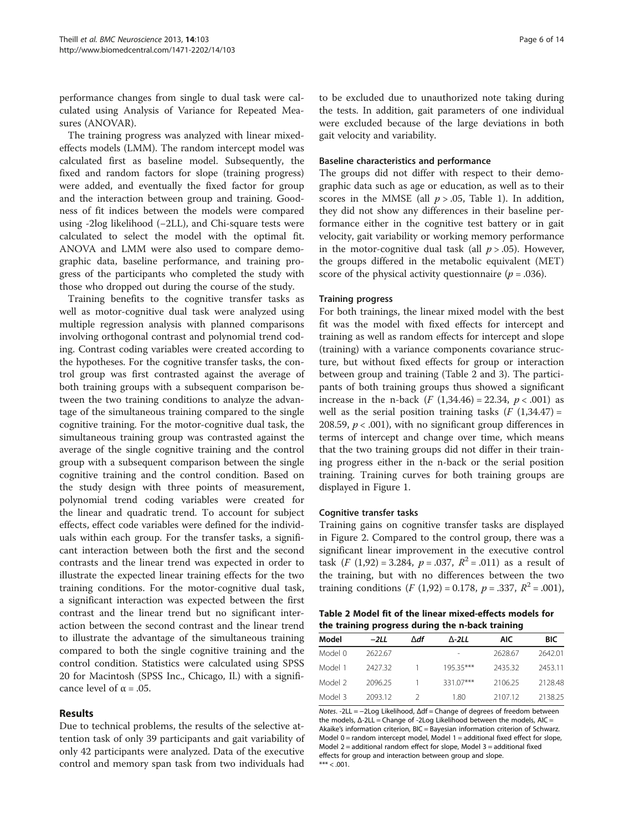performance changes from single to dual task were calculated using Analysis of Variance for Repeated Measures (ANOVAR).

The training progress was analyzed with linear mixedeffects models (LMM). The random intercept model was calculated first as baseline model. Subsequently, the fixed and random factors for slope (training progress) were added, and eventually the fixed factor for group and the interaction between group and training. Goodness of fit indices between the models were compared using -2log likelihood (−2LL), and Chi-square tests were calculated to select the model with the optimal fit. ANOVA and LMM were also used to compare demographic data, baseline performance, and training progress of the participants who completed the study with those who dropped out during the course of the study.

Training benefits to the cognitive transfer tasks as well as motor-cognitive dual task were analyzed using multiple regression analysis with planned comparisons involving orthogonal contrast and polynomial trend coding. Contrast coding variables were created according to the hypotheses. For the cognitive transfer tasks, the control group was first contrasted against the average of both training groups with a subsequent comparison between the two training conditions to analyze the advantage of the simultaneous training compared to the single cognitive training. For the motor-cognitive dual task, the simultaneous training group was contrasted against the average of the single cognitive training and the control group with a subsequent comparison between the single cognitive training and the control condition. Based on the study design with three points of measurement, polynomial trend coding variables were created for the linear and quadratic trend. To account for subject effects, effect code variables were defined for the individuals within each group. For the transfer tasks, a significant interaction between both the first and the second contrasts and the linear trend was expected in order to illustrate the expected linear training effects for the two training conditions. For the motor-cognitive dual task, a significant interaction was expected between the first contrast and the linear trend but no significant interaction between the second contrast and the linear trend to illustrate the advantage of the simultaneous training compared to both the single cognitive training and the control condition. Statistics were calculated using SPSS 20 for Macintosh (SPSS Inc., Chicago, Il.) with a significance level of  $\alpha = .05$ .

#### Results

Due to technical problems, the results of the selective attention task of only 39 participants and gait variability of only 42 participants were analyzed. Data of the executive control and memory span task from two individuals had

to be excluded due to unauthorized note taking during the tests. In addition, gait parameters of one individual were excluded because of the large deviations in both gait velocity and variability.

#### Baseline characteristics and performance

The groups did not differ with respect to their demographic data such as age or education, as well as to their scores in the MMSE (all  $p > .05$ , Table [1\)](#page-3-0). In addition, they did not show any differences in their baseline performance either in the cognitive test battery or in gait velocity, gait variability or working memory performance in the motor-cognitive dual task (all  $p > .05$ ). However, the groups differed in the metabolic equivalent (MET) score of the physical activity questionnaire ( $p = .036$ ).

#### Training progress

For both trainings, the linear mixed model with the best fit was the model with fixed effects for intercept and training as well as random effects for intercept and slope (training) with a variance components covariance structure, but without fixed effects for group or interaction between group and training (Table 2 and [3](#page-6-0)). The participants of both training groups thus showed a significant increase in the n-back  $(F (1,34.46) = 22.34, p < .001)$  as well as the serial position training tasks  $(F(1,34.47))$  = 208.59,  $p < .001$ ), with no significant group differences in terms of intercept and change over time, which means that the two training groups did not differ in their training progress either in the n-back or the serial position training. Training curves for both training groups are displayed in Figure [1.](#page-6-0)

#### Cognitive transfer tasks

Training gains on cognitive transfer tasks are displayed in Figure [2.](#page-7-0) Compared to the control group, there was a significant linear improvement in the executive control task  $(F (1,92) = 3.284, p = .037, R^2 = .011)$  as a result of the training, but with no differences between the two training conditions (*F* (1,92) = 0.178,  $p = .337$ ,  $R^2 = .001$ ),

#### Table 2 Model fit of the linear mixed-effects models for the training progress during the n-back training

| Model   | -2LL    | ∆df | ∆-2LL     | AIC     | <b>BIC</b> |
|---------|---------|-----|-----------|---------|------------|
| Model 0 | 2622.67 |     |           | 2628.67 | 2642.01    |
| Model 1 | 2427.32 |     | 195.35*** | 2435.32 | 2453.11    |
| Model 2 | 2096.25 |     | 331.07*** | 2106.25 | 2128.48    |
| Model 3 | 2093.12 |     | 1.80      | 2107.12 | 2138.25    |

Notes. -2LL = −2Log Likelihood, Δdf = Change of degrees of freedom between the models, Δ-2LL = Change of -2Log Likelihood between the models, AIC = Akaike's information criterion, BIC = Bayesian information criterion of Schwarz. Model 0 = random intercept model, Model 1 = additional fixed effect for slope, Model 2 = additional random effect for slope, Model 3 = additional fixed effects for group and interaction between group and slope.  $*** < .001.$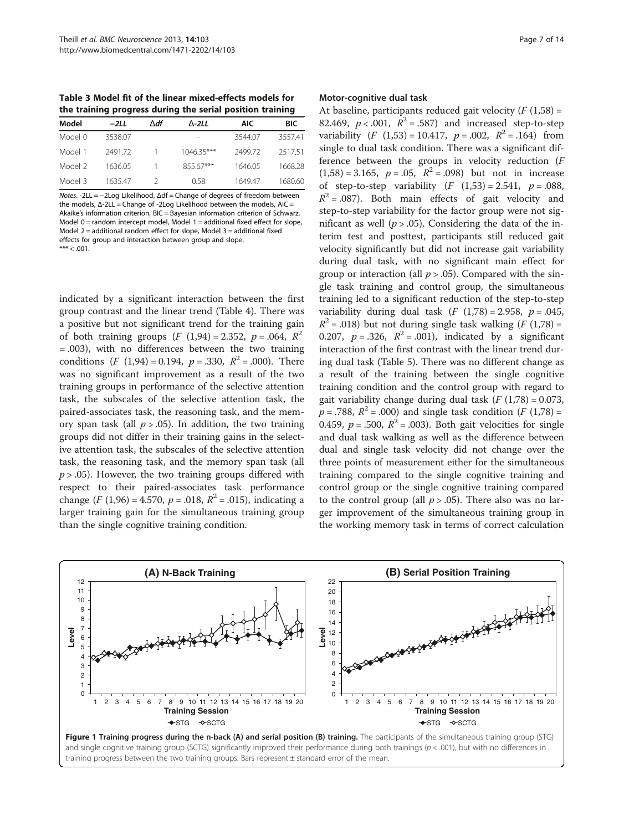<span id="page-6-0"></span>Table 3 Model fit of the linear mixed-effects models for the training progress during the serial position training

| Model   | -2LL    | ∧df | $\Lambda$ -2LL | AIC.    | <b>BIC</b> |
|---------|---------|-----|----------------|---------|------------|
| Model 0 | 3538.07 |     |                | 3544.07 | 3557.41    |
| Model 1 | 2491.72 |     | $1046.35***$   | 249972  | 251751     |
| Model 2 | 1636.05 |     | 855.67***      | 1646.05 | 1668.28    |
| Model 3 | 1635.47 |     | 0.58           | 164947  | 1680.60    |

Notes. -2LL = −2Log Likelihood, Δdf = Change of degrees of freedom between the models, Δ-2LL = Change of -2Log Likelihood between the models, AIC = Akaike's information criterion, BIC = Bayesian information criterion of Schwarz. Model 0 = random intercept model, Model 1 = additional fixed effect for slope, Model  $2$  = additional random effect for slope, Model  $3$  = additional fixed effects for group and interaction between group and slope.  $*** < .001$ 

indicated by a significant interaction between the first group contrast and the linear trend (Table [4](#page-8-0)). There was a positive but not significant trend for the training gain of both training groups  $(F (1,94) = 2.352, p = .064, R^2)$ = .003), with no differences between the two training conditions  $(F (1,94) = 0.194, p = .330, R^2 = .000)$ . There was no significant improvement as a result of the two training groups in performance of the selective attention task, the subscales of the selective attention task, the paired-associates task, the reasoning task, and the memory span task (all  $p > .05$ ). In addition, the two training groups did not differ in their training gains in the selective attention task, the subscales of the selective attention task, the reasoning task, and the memory span task (all  $p > .05$ ). However, the two training groups differed with respect to their paired-associates task performance change  $(F (1,96) = 4.570, p = .018, R^2 = .015)$ , indicating a larger training gain for the simultaneous training group than the single cognitive training condition.

#### Motor-cognitive dual task

At baseline, participants reduced gait velocity  $(F(1,58) =$ 82.469,  $p < .001$ ,  $R^2 = .587$ ) and increased step-to-step variability  $(F (1,53) = 10.417, p = .002, R^2 = .164)$  from single to dual task condition. There was a significant difference between the groups in velocity reduction (F  $(1,58) = 3.165$ ,  $p = .05$ ,  $R^2 = .098$ ) but not in increase of step-to-step variability  $(F (1,53) = 2.541, p = .088,$  $R^2$  = .087). Both main effects of gait velocity and step-to-step variability for the factor group were not significant as well ( $p > .05$ ). Considering the data of the interim test and posttest, participants still reduced gait velocity significantly but did not increase gait variability during dual task, with no significant main effect for group or interaction (all  $p > .05$ ). Compared with the single task training and control group, the simultaneous training led to a significant reduction of the step-to-step variability during dual task  $(F (1,78) = 2.958, p = .045,$  $R^2$  = .018) but not during single task walking (F (1,78) = 0.207,  $p = .326$ ,  $R^2 = .001$ ), indicated by a significant interaction of the first contrast with the linear trend during dual task (Table [5\)](#page-8-0). There was no different change as a result of the training between the single cognitive training condition and the control group with regard to gait variability change during dual task  $(F (1,78) = 0.073,$  $p = .788$ ,  $R^2 = .000$ ) and single task condition (F (1,78) = 0.459,  $p = .500$ ,  $R^2 = .003$ ). Both gait velocities for single and dual task walking as well as the difference between dual and single task velocity did not change over the three points of measurement either for the simultaneous training compared to the single cognitive training and control group or the single cognitive training compared to the control group (all  $p > .05$ ). There also was no larger improvement of the simultaneous training group in the working memory task in terms of correct calculation

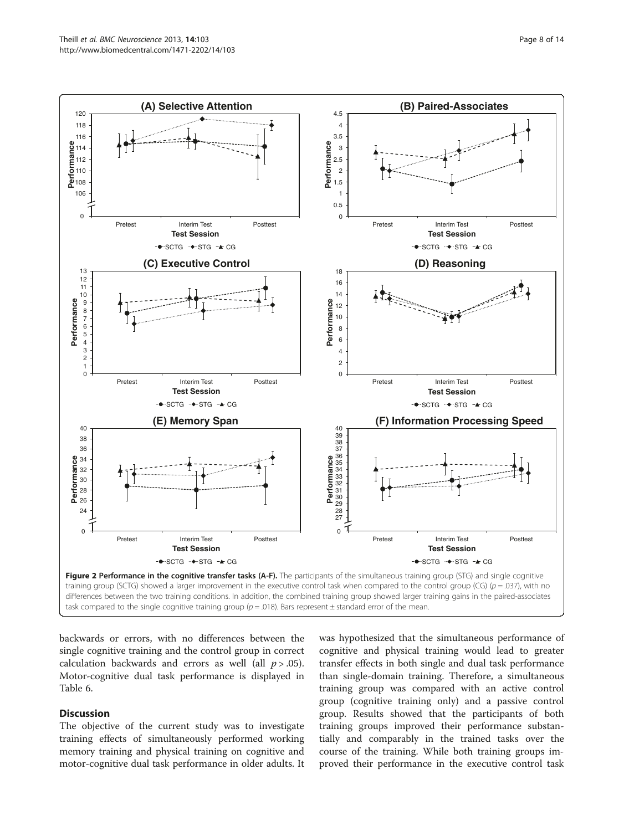<span id="page-7-0"></span>

task compared to the single cognitive training group ( $p = .018$ ). Bars represent  $\pm$  standard error of the mean.

backwards or errors, with no differences between the single cognitive training and the control group in correct calculation backwards and errors as well (all  $p > .05$ ). Motor-cognitive dual task performance is displayed in Table [6.](#page-9-0)

# **Discussion**

The objective of the current study was to investigate training effects of simultaneously performed working memory training and physical training on cognitive and motor-cognitive dual task performance in older adults. It

was hypothesized that the simultaneous performance of cognitive and physical training would lead to greater transfer effects in both single and dual task performance than single-domain training. Therefore, a simultaneous training group was compared with an active control group (cognitive training only) and a passive control group. Results showed that the participants of both training groups improved their performance substantially and comparably in the trained tasks over the course of the training. While both training groups improved their performance in the executive control task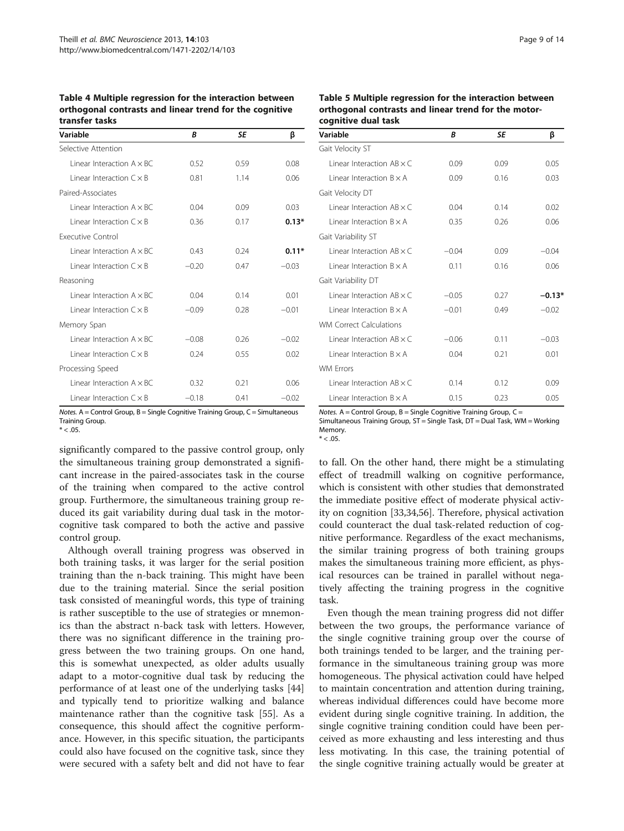<span id="page-8-0"></span>Table 4 Multiple regression for the interaction between orthogonal contrasts and linear trend for the cognitive transfer tasks

| Variable                            | B       | <b>SE</b> | β       |  |  |
|-------------------------------------|---------|-----------|---------|--|--|
| Selective Attention                 |         |           |         |  |  |
| $l$ inear Interaction $A \times BC$ | 0.52    | 0.59      | 0.08    |  |  |
| $I$ inear Interaction $C \times B$  | 0.81    | 1.14      | 0.06    |  |  |
| Paired-Associates                   |         |           |         |  |  |
| Linear Interaction $A \times BC$    | 0.04    | 0.09      | 0.03    |  |  |
| $I$ inear Interaction $C \times B$  | 0.36    | 0.17      | $0.13*$ |  |  |
| <b>Executive Control</b>            |         |           |         |  |  |
| $l$ inear Interaction $A \times BC$ | 0.43    | 0.24      | $0.11*$ |  |  |
| I inear Interaction $C \times B$    | $-0.20$ | 0.47      | $-0.03$ |  |  |
| Reasoning                           |         |           |         |  |  |
| $I$ inear Interaction $A \times BC$ | 0.04    | 0.14      | 0.01    |  |  |
| I inear Interaction $C \times B$    | $-0.09$ | 0.28      | $-0.01$ |  |  |
| Memory Span                         |         |           |         |  |  |
| $l$ inear Interaction $A \times BC$ | $-0.08$ | 0.26      | $-0.02$ |  |  |
| $I$ inear Interaction $C \times B$  | 0.24    | 0.55      | 0.02    |  |  |
| Processing Speed                    |         |           |         |  |  |
| $l$ inear Interaction $A \times BC$ | 0.32    | 0.21      | 0.06    |  |  |
| I inear Interaction $C \times B$    | $-0.18$ | 0.41      | $-0.02$ |  |  |

Notes. A = Control Group, B = Single Cognitive Training Group, C = Simultaneous Training Group.  $* < .05.$ 

significantly compared to the passive control group, only the simultaneous training group demonstrated a significant increase in the paired-associates task in the course of the training when compared to the active control group. Furthermore, the simultaneous training group reduced its gait variability during dual task in the motorcognitive task compared to both the active and passive control group.

Although overall training progress was observed in both training tasks, it was larger for the serial position training than the n-back training. This might have been due to the training material. Since the serial position task consisted of meaningful words, this type of training is rather susceptible to the use of strategies or mnemonics than the abstract n-back task with letters. However, there was no significant difference in the training progress between the two training groups. On one hand, this is somewhat unexpected, as older adults usually adapt to a motor-cognitive dual task by reducing the performance of at least one of the underlying tasks [[44](#page-12-0)] and typically tend to prioritize walking and balance maintenance rather than the cognitive task [\[55](#page-12-0)]. As a consequence, this should affect the cognitive performance. However, in this specific situation, the participants could also have focused on the cognitive task, since they were secured with a safety belt and did not have to fear

| Table 5 Multiple regression for the interaction between |
|---------------------------------------------------------|
| orthogonal contrasts and linear trend for the motor-    |
| cognitive dual task                                     |

| Variable                            | R       | SE   | β        |  |  |
|-------------------------------------|---------|------|----------|--|--|
| Gait Velocity ST                    |         |      |          |  |  |
| $l$ inear Interaction AB $\times$ C | 0.09    | 0.09 | 0.05     |  |  |
| $l$ inear Interaction $B \times A$  | 0.09    | 0.16 | 0.03     |  |  |
| Gait Velocity DT                    |         |      |          |  |  |
| $l$ inear Interaction AB $\times$ C | 0.04    | 0.14 | 0.02     |  |  |
| I inear Interaction $B \times A$    | 0.35    | 0.26 | 0.06     |  |  |
| Gait Variability ST                 |         |      |          |  |  |
| $l$ inear Interaction AB $\times$ C | $-0.04$ | 0.09 | $-0.04$  |  |  |
| $l$ inear Interaction $B \times A$  | 0.11    | 0.16 | 0.06     |  |  |
| Gait Variability DT                 |         |      |          |  |  |
| $l$ inear Interaction AB $\times$ C | $-0.05$ | 0.27 | $-0.13*$ |  |  |
| I inear Interaction $B \times A$    | $-0.01$ | 0.49 | $-0.02$  |  |  |
| <b>WM Correct Calculations</b>      |         |      |          |  |  |
| $l$ inear Interaction AB $\times$ C | $-0.06$ | 0.11 | $-0.03$  |  |  |
| $l$ inear Interaction $B \times A$  | 0.04    | 0.21 | 0.01     |  |  |
| <b>WM Frrors</b>                    |         |      |          |  |  |
| $l$ inear Interaction AB $\times$ C | 0.14    | 0.12 | 0.09     |  |  |
| $l$ inear Interaction $B \times A$  | 0.15    | 0.23 | 0.05     |  |  |

Notes.  $A =$  Control Group,  $B =$  Single Cognitive Training Group,  $C =$ Simultaneous Training Group, ST = Single Task, DT = Dual Task, WM = Working Memory.  $* < .05$ .

to fall. On the other hand, there might be a stimulating effect of treadmill walking on cognitive performance, which is consistent with other studies that demonstrated the immediate positive effect of moderate physical activity on cognition [[33,34,56\]](#page-12-0). Therefore, physical activation could counteract the dual task-related reduction of cognitive performance. Regardless of the exact mechanisms, the similar training progress of both training groups makes the simultaneous training more efficient, as physical resources can be trained in parallel without negatively affecting the training progress in the cognitive task.

Even though the mean training progress did not differ between the two groups, the performance variance of the single cognitive training group over the course of both trainings tended to be larger, and the training performance in the simultaneous training group was more homogeneous. The physical activation could have helped to maintain concentration and attention during training, whereas individual differences could have become more evident during single cognitive training. In addition, the single cognitive training condition could have been perceived as more exhausting and less interesting and thus less motivating. In this case, the training potential of the single cognitive training actually would be greater at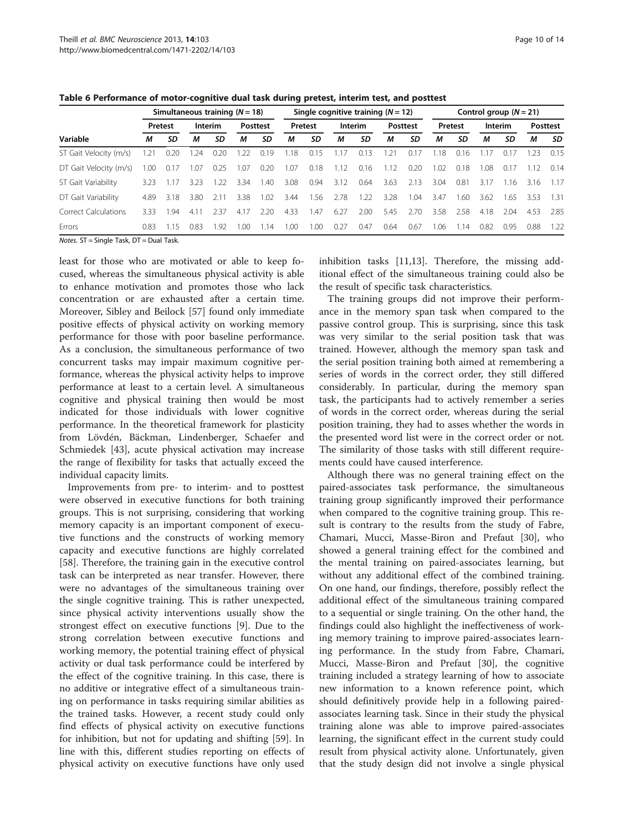|                        |         | Simultaneous training $(N = 18)$ |               |      |          |      |      | Single cognitive training $(N = 12)$ |      |      |      |         | Control group $(N = 21)$ |                 |      |         |      |         |  |                 |  |         |         |  |  |                 |
|------------------------|---------|----------------------------------|---------------|------|----------|------|------|--------------------------------------|------|------|------|---------|--------------------------|-----------------|------|---------|------|---------|--|-----------------|--|---------|---------|--|--|-----------------|
| Variable               | Pretest |                                  |               |      |          |      |      |                                      |      |      |      | Interim |                          | <b>Posttest</b> |      | Pretest |      | Interim |  | <b>Posttest</b> |  | Pretest | Interim |  |  | <b>Posttest</b> |
|                        | М       | SD                               | М             | SD   | М        | SD   | М    | SD                                   | М    | SD   | м    | SD      | М                        | SD              | М    | SD      | М    | SD      |  |                 |  |         |         |  |  |                 |
| ST Gait Velocity (m/s) | .21     | 0.20                             | .24           | 0.20 | .22      | 0.19 | 1.18 | 0.15                                 |      | 0.13 |      | O. L    | .18                      | 0.16            |      | 0.17    | .23  | 0.15    |  |                 |  |         |         |  |  |                 |
| DT Gait Velocity (m/s) | .00     | 0.17                             | .07           | 0.25 | 1.07     | 0.20 | 1.07 | 0.18                                 | 1.12 | 0.16 | 112  | 0.20    | .02                      | 0.18            | .08  | 0.17    | -12  | 0.14    |  |                 |  |         |         |  |  |                 |
| ST Gait Variability    | 3.23    | $\frac{1}{2}$                    | 3.23          | - 22 | 3.34     | 40   | 3.08 | 0.94                                 | 3.12 | 0.64 | 3.63 | 2.13    | 3.04                     | 0.81            | 3.17 | 16      | 3.16 | 1.17    |  |                 |  |         |         |  |  |                 |
| DT Gait Variability    | 4.89    | 3.18                             | 3.80          | 2.11 | 3.38     | 1.02 | 3.44 | .56                                  | 2.78 | 22   | 3.28 | 1.04    | 3.47                     | .60             | 3.62 | 1.65    | 3.53 | 1.31    |  |                 |  |         |         |  |  |                 |
| Correct Calculations   | 333     | -94                              | $4.1^{\circ}$ | 2.37 | 4.17     | 2.20 | 4.33 | .47                                  | 6.27 | 2.00 | 5.45 | 2.70    | 3.58                     | 2.58            | 4.18 | 2.04    | 4.53 | 2.85    |  |                 |  |         |         |  |  |                 |
| Errors                 | 0.83    | .15                              | 0.83          | 1.92 | $\Omega$ | -14  | .00  | .00                                  | በ 27 | 0.47 | 0.64 | 0.67    | .06                      | -14             | 0.82 | 0.95    | 0.88 | 1.22    |  |                 |  |         |         |  |  |                 |

<span id="page-9-0"></span>Table 6 Performance of motor-cognitive dual task during pretest, interim test, and posttest

Notes. ST = Single Task, DT = Dual Task.

least for those who are motivated or able to keep focused, whereas the simultaneous physical activity is able to enhance motivation and promotes those who lack concentration or are exhausted after a certain time. Moreover, Sibley and Beilock [\[57](#page-12-0)] found only immediate positive effects of physical activity on working memory performance for those with poor baseline performance. As a conclusion, the simultaneous performance of two concurrent tasks may impair maximum cognitive performance, whereas the physical activity helps to improve performance at least to a certain level. A simultaneous cognitive and physical training then would be most indicated for those individuals with lower cognitive performance. In the theoretical framework for plasticity from Lövdén, Bäckman, Lindenberger, Schaefer and Schmiedek [[43\]](#page-12-0), acute physical activation may increase the range of flexibility for tasks that actually exceed the individual capacity limits.

Improvements from pre- to interim- and to posttest were observed in executive functions for both training groups. This is not surprising, considering that working memory capacity is an important component of executive functions and the constructs of working memory capacity and executive functions are highly correlated [[58\]](#page-12-0). Therefore, the training gain in the executive control task can be interpreted as near transfer. However, there were no advantages of the simultaneous training over the single cognitive training. This is rather unexpected, since physical activity interventions usually show the strongest effect on executive functions [[9\]](#page-11-0). Due to the strong correlation between executive functions and working memory, the potential training effect of physical activity or dual task performance could be interfered by the effect of the cognitive training. In this case, there is no additive or integrative effect of a simultaneous training on performance in tasks requiring similar abilities as the trained tasks. However, a recent study could only find effects of physical activity on executive functions for inhibition, but not for updating and shifting [\[59\]](#page-13-0). In line with this, different studies reporting on effects of physical activity on executive functions have only used inhibition tasks [[11,](#page-11-0)[13\]](#page-12-0). Therefore, the missing additional effect of the simultaneous training could also be the result of specific task characteristics.

The training groups did not improve their performance in the memory span task when compared to the passive control group. This is surprising, since this task was very similar to the serial position task that was trained. However, although the memory span task and the serial position training both aimed at remembering a series of words in the correct order, they still differed considerably. In particular, during the memory span task, the participants had to actively remember a series of words in the correct order, whereas during the serial position training, they had to asses whether the words in the presented word list were in the correct order or not. The similarity of those tasks with still different requirements could have caused interference.

Although there was no general training effect on the paired-associates task performance, the simultaneous training group significantly improved their performance when compared to the cognitive training group. This result is contrary to the results from the study of Fabre, Chamari, Mucci, Masse-Biron and Prefaut [\[30\]](#page-12-0), who showed a general training effect for the combined and the mental training on paired-associates learning, but without any additional effect of the combined training. On one hand, our findings, therefore, possibly reflect the additional effect of the simultaneous training compared to a sequential or single training. On the other hand, the findings could also highlight the ineffectiveness of working memory training to improve paired-associates learning performance. In the study from Fabre, Chamari, Mucci, Masse-Biron and Prefaut [[30\]](#page-12-0), the cognitive training included a strategy learning of how to associate new information to a known reference point, which should definitively provide help in a following pairedassociates learning task. Since in their study the physical training alone was able to improve paired-associates learning, the significant effect in the current study could result from physical activity alone. Unfortunately, given that the study design did not involve a single physical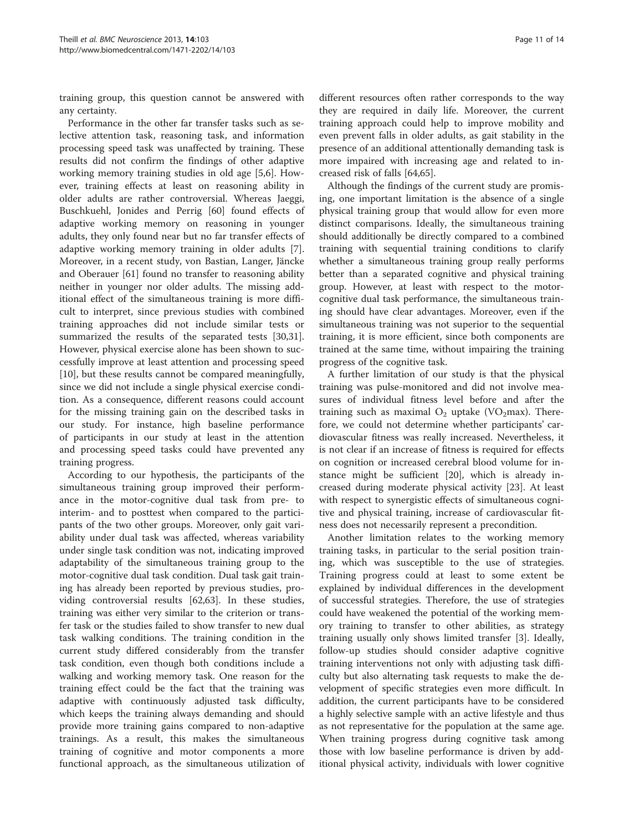training group, this question cannot be answered with any certainty.

Performance in the other far transfer tasks such as selective attention task, reasoning task, and information processing speed task was unaffected by training. These results did not confirm the findings of other adaptive working memory training studies in old age [[5](#page-11-0),[6\]](#page-11-0). However, training effects at least on reasoning ability in older adults are rather controversial. Whereas Jaeggi, Buschkuehl, Jonides and Perrig [[60\]](#page-13-0) found effects of adaptive working memory on reasoning in younger adults, they only found near but no far transfer effects of adaptive working memory training in older adults [\[7](#page-11-0)]. Moreover, in a recent study, von Bastian, Langer, Jäncke and Oberauer [[61\]](#page-13-0) found no transfer to reasoning ability neither in younger nor older adults. The missing additional effect of the simultaneous training is more difficult to interpret, since previous studies with combined training approaches did not include similar tests or summarized the results of the separated tests [\[30,31](#page-12-0)]. However, physical exercise alone has been shown to successfully improve at least attention and processing speed [[10\]](#page-11-0), but these results cannot be compared meaningfully, since we did not include a single physical exercise condition. As a consequence, different reasons could account for the missing training gain on the described tasks in our study. For instance, high baseline performance of participants in our study at least in the attention and processing speed tasks could have prevented any training progress.

According to our hypothesis, the participants of the simultaneous training group improved their performance in the motor-cognitive dual task from pre- to interim- and to posttest when compared to the participants of the two other groups. Moreover, only gait variability under dual task was affected, whereas variability under single task condition was not, indicating improved adaptability of the simultaneous training group to the motor-cognitive dual task condition. Dual task gait training has already been reported by previous studies, providing controversial results [[62,63\]](#page-13-0). In these studies, training was either very similar to the criterion or transfer task or the studies failed to show transfer to new dual task walking conditions. The training condition in the current study differed considerably from the transfer task condition, even though both conditions include a walking and working memory task. One reason for the training effect could be the fact that the training was adaptive with continuously adjusted task difficulty, which keeps the training always demanding and should provide more training gains compared to non-adaptive trainings. As a result, this makes the simultaneous training of cognitive and motor components a more functional approach, as the simultaneous utilization of

different resources often rather corresponds to the way they are required in daily life. Moreover, the current training approach could help to improve mobility and even prevent falls in older adults, as gait stability in the presence of an additional attentionally demanding task is more impaired with increasing age and related to increased risk of falls [\[64,65\]](#page-13-0).

Although the findings of the current study are promising, one important limitation is the absence of a single physical training group that would allow for even more distinct comparisons. Ideally, the simultaneous training should additionally be directly compared to a combined training with sequential training conditions to clarify whether a simultaneous training group really performs better than a separated cognitive and physical training group. However, at least with respect to the motorcognitive dual task performance, the simultaneous training should have clear advantages. Moreover, even if the simultaneous training was not superior to the sequential training, it is more efficient, since both components are trained at the same time, without impairing the training progress of the cognitive task.

A further limitation of our study is that the physical training was pulse-monitored and did not involve measures of individual fitness level before and after the training such as maximal  $O_2$  uptake (VO<sub>2</sub>max). Therefore, we could not determine whether participants' cardiovascular fitness was really increased. Nevertheless, it is not clear if an increase of fitness is required for effects on cognition or increased cerebral blood volume for instance might be sufficient [\[20\]](#page-12-0), which is already increased during moderate physical activity [\[23](#page-12-0)]. At least with respect to synergistic effects of simultaneous cognitive and physical training, increase of cardiovascular fitness does not necessarily represent a precondition.

Another limitation relates to the working memory training tasks, in particular to the serial position training, which was susceptible to the use of strategies. Training progress could at least to some extent be explained by individual differences in the development of successful strategies. Therefore, the use of strategies could have weakened the potential of the working memory training to transfer to other abilities, as strategy training usually only shows limited transfer [\[3](#page-11-0)]. Ideally, follow-up studies should consider adaptive cognitive training interventions not only with adjusting task difficulty but also alternating task requests to make the development of specific strategies even more difficult. In addition, the current participants have to be considered a highly selective sample with an active lifestyle and thus as not representative for the population at the same age. When training progress during cognitive task among those with low baseline performance is driven by additional physical activity, individuals with lower cognitive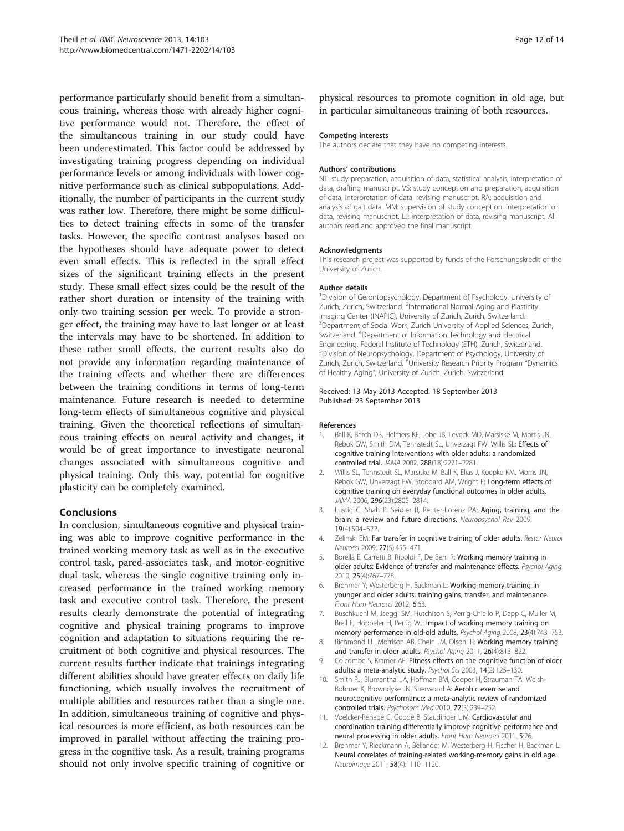<span id="page-11-0"></span>performance particularly should benefit from a simultaneous training, whereas those with already higher cognitive performance would not. Therefore, the effect of the simultaneous training in our study could have been underestimated. This factor could be addressed by investigating training progress depending on individual performance levels or among individuals with lower cognitive performance such as clinical subpopulations. Additionally, the number of participants in the current study was rather low. Therefore, there might be some difficulties to detect training effects in some of the transfer tasks. However, the specific contrast analyses based on the hypotheses should have adequate power to detect even small effects. This is reflected in the small effect sizes of the significant training effects in the present study. These small effect sizes could be the result of the rather short duration or intensity of the training with only two training session per week. To provide a stronger effect, the training may have to last longer or at least the intervals may have to be shortened. In addition to these rather small effects, the current results also do not provide any information regarding maintenance of the training effects and whether there are differences between the training conditions in terms of long-term maintenance. Future research is needed to determine long-term effects of simultaneous cognitive and physical training. Given the theoretical reflections of simultaneous training effects on neural activity and changes, it would be of great importance to investigate neuronal changes associated with simultaneous cognitive and physical training. Only this way, potential for cognitive plasticity can be completely examined.

# Conclusions

In conclusion, simultaneous cognitive and physical training was able to improve cognitive performance in the trained working memory task as well as in the executive control task, pared-associates task, and motor-cognitive dual task, whereas the single cognitive training only increased performance in the trained working memory task and executive control task. Therefore, the present results clearly demonstrate the potential of integrating cognitive and physical training programs to improve cognition and adaptation to situations requiring the recruitment of both cognitive and physical resources. The current results further indicate that trainings integrating different abilities should have greater effects on daily life functioning, which usually involves the recruitment of multiple abilities and resources rather than a single one. In addition, simultaneous training of cognitive and physical resources is more efficient, as both resources can be improved in parallel without affecting the training progress in the cognitive task. As a result, training programs should not only involve specific training of cognitive or

physical resources to promote cognition in old age, but in particular simultaneous training of both resources.

#### Competing interests

The authors declare that they have no competing interests.

#### Authors' contributions

NT: study preparation, acquisition of data, statistical analysis, interpretation of data, drafting manuscript. VS: study conception and preparation, acquisition of data, interpretation of data, revising manuscript. RA: acquisition and analysis of gait data. MM: supervision of study conception, interpretation of data, revising manuscript. LJ: interpretation of data, revising manuscript. All authors read and approved the final manuscript.

#### Acknowledgments

This research project was supported by funds of the Forschungskredit of the University of Zurich.

#### Author details

<sup>1</sup> Division of Gerontopsychology, Department of Psychology, University of Zurich, Zurich, Switzerland. <sup>2</sup>International Normal Aging and Plasticity Imaging Center (INAPIC), University of Zurich, Zurich, Switzerland. <sup>3</sup>Department of Social Work, Zurich University of Applied Sciences, Zurich Switzerland. <sup>4</sup> Department of Information Technology and Electrical Engineering, Federal Institute of Technology (ETH), Zurich, Switzerland. 5 Division of Neuropsychology, Department of Psychology, University of Zurich, Zurich, Switzerland. <sup>6</sup>University Research Priority Program "Dynamics of Healthy Aging", University of Zurich, Zurich, Switzerland.

#### Received: 13 May 2013 Accepted: 18 September 2013 Published: 23 September 2013

#### References

- 1. Ball K, Berch DB, Helmers KF, Jobe JB, Leveck MD, Marsiske M, Morris JN, Rebok GW, Smith DM, Tennstedt SL, Unverzagt FW, Willis SL: Effects of cognitive training interventions with older adults: a randomized controlled trial. JAMA 2002, 288(18):2271–2281.
- 2. Willis SL, Tennstedt SL, Marsiske M, Ball K, Elias J, Koepke KM, Morris JN, Rebok GW, Unverzagt FW, Stoddard AM, Wright E: Long-term effects of cognitive training on everyday functional outcomes in older adults. JAMA 2006, 296(23):2805-2814.
- 3. Lustig C, Shah P, Seidler R, Reuter-Lorenz PA: Aging, training, and the brain: a review and future directions. Neuropsychol Rev 2009, 19(4):504–522.
- 4. Zelinski EM: Far transfer in cognitive training of older adults. Restor Neurol Neurosci 2009, 27(5):455-471
- 5. Borella E, Carretti B, Riboldi F, De Beni R: Working memory training in older adults: Evidence of transfer and maintenance effects. Psychol Aging 2010, 25(4):767–778.
- 6. Brehmer Y, Westerberg H, Backman L: Working-memory training in younger and older adults: training gains, transfer, and maintenance. Front Hum Neurosci 2012, 6:63.
- 7. Buschkuehl M, Jaeggi SM, Hutchison S, Perrig-Chiello P, Dapp C, Muller M, Breil F, Hoppeler H, Perrig WJ: Impact of working memory training on memory performance in old-old adults. Psychol Aging 2008, 23(4):743-753.
- 8. Richmond LL, Morrison AB, Chein JM, Olson IR: Working memory training and transfer in older adults. Psychol Aging 2011, 26(4):813–822.
- 9. Colcombe S, Kramer AF: Fitness effects on the cognitive function of older adults: a meta-analytic study. Psychol Sci 2003, 14(2):125-130.
- 10. Smith PJ, Blumenthal JA, Hoffman BM, Cooper H, Strauman TA, Welsh-Bohmer K, Browndyke JN, Sherwood A: Aerobic exercise and neurocognitive performance: a meta-analytic review of randomized controlled trials. Psychosom Med 2010, 72(3):239-252.
- 11. Voelcker-Rehage C, Godde B, Staudinger UM: Cardiovascular and coordination training differentially improve cognitive performance and neural processing in older adults. Front Hum Neurosci 2011, 5:26.
- 12. Brehmer Y, Rieckmann A, Bellander M, Westerberg H, Fischer H, Backman L: Neural correlates of training-related working-memory gains in old age. Neuroimage 2011, 58(4):1110–1120.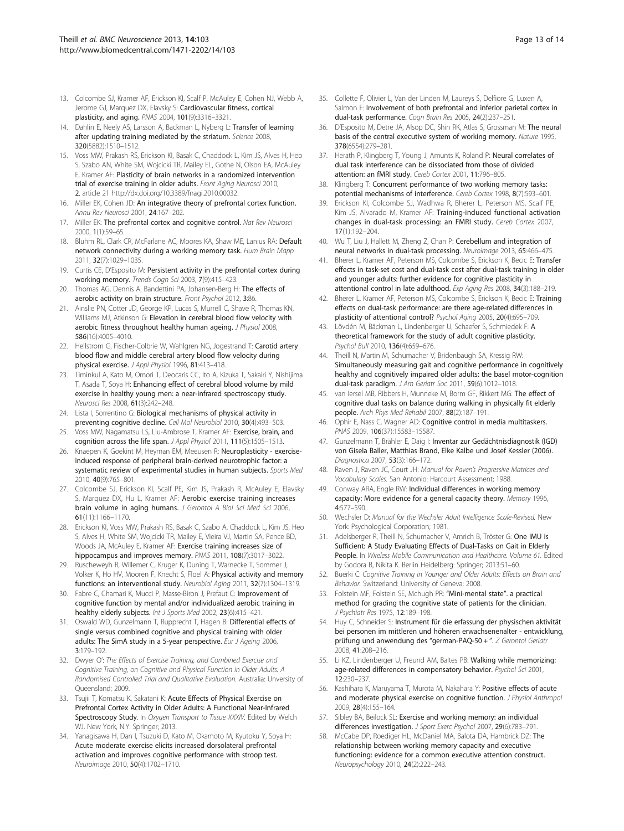- <span id="page-12-0"></span>13. Colcombe SJ, Kramer AF, Erickson KI, Scalf P, McAuley E, Cohen NJ, Webb A, Jerome GJ, Marquez DX, Elavsky S: Cardiovascular fitness, cortical plasticity, and aging. PNAS 2004, 101(9):3316–3321.
- 14. Dahlin E, Neely AS, Larsson A, Backman L, Nyberg L: Transfer of learning after updating training mediated by the striatum. Science 2008, 320(5882):1510–1512.
- 15. Voss MW, Prakash RS, Erickson KI, Basak C, Chaddock L, Kim JS, Alves H, Heo S, Szabo AN, White SM, Wojcicki TR, Mailey EL, Gothe N, Olson EA, McAuley E, Kramer AF: Plasticity of brain networks in a randomized intervention trial of exercise training in older adults. Front Aging Neurosci 2010, 2. article 21 http://dx.doi.org/10.3389/fnagi.2010.00032.
- 16. Miller EK, Cohen JD: An integrative theory of prefrontal cortex function. Annu Rev Neurosci 2001, 24:167–202.
- 17. Miller EK: The prefrontal cortex and cognitive control. Nat Rev Neurosci 2000, 1(1):59–65.
- 18. Bluhm RL, Clark CR, McFarlane AC, Moores KA, Shaw ME, Lanius RA: Default network connectivity during a working memory task. Hum Brain Mapp 2011, 32(7):1029–1035.
- 19. Curtis CE, D'Esposito M: Persistent activity in the prefrontal cortex during working memory. Trends Cogn Sci 2003, 7(9):415–423.
- 20. Thomas AG, Dennis A, Bandettini PA, Johansen-Berg H: The effects of aerobic activity on brain structure. Front Psychol 2012, 3:86
- 21. Ainslie PN, Cotter JD, George KP, Lucas S, Murrell C, Shave R, Thomas KN, Williams MJ, Atkinson G: Elevation in cerebral blood flow velocity with aerobic fitness throughout healthy human ageing. J Physiol 2008, 586(16):4005–4010.
- 22. Hellstrom G, Fischer-Colbrie W, Wahlgren NG, Jogestrand T: Carotid artery blood flow and middle cerebral artery blood flow velocity during physical exercise. J Appl Physiol 1996, 81:413–418.
- 23. Timinkul A, Kato M, Omori T, Deocaris CC, Ito A, Kizuka T, Sakairi Y, Nishijima T, Asada T, Soya H: Enhancing effect of cerebral blood volume by mild exercise in healthy young men: a near-infrared spectroscopy study. Neurosci Res 2008, 61(3):242–248.
- 24. Lista I, Sorrentino G: Biological mechanisms of physical activity in preventing cognitive decline. Cell Mol Neurobiol 2010, 30(4):493-503.
- 25. Voss MW, Nagamatsu LS, Liu-Ambrose T, Kramer AF: Exercise, brain, and cognition across the life span. J Appl Physiol 2011, 111(5):1505-1513.
- 26. Knaepen K, Goekint M, Heyman EM, Meeusen R: Neuroplasticity exerciseinduced response of peripheral brain-derived neurotrophic factor: a systematic review of experimental studies in human subjects. Sports Med 2010, 40(9):765–801.
- 27. Colcombe SJ, Erickson KI, Scalf PE, Kim JS, Prakash R, McAuley E, Elavsky S, Marquez DX, Hu L, Kramer AF: Aerobic exercise training increases brain volume in aging humans. J Gerontol A Biol Sci Med Sci 2006, 61(11):1166–1170.
- 28. Erickson KI, Voss MW, Prakash RS, Basak C, Szabo A, Chaddock L, Kim JS, Heo S, Alves H, White SM, Wojcicki TR, Mailey E, Vieira VJ, Martin SA, Pence BD, Woods JA, McAuley E, Kramer AF: Exercise training increases size of hippocampus and improves memory. PNAS 2011, 108(7):3017-3022.
- 29. Ruscheweyh R, Willemer C, Kruger K, Duning T, Warnecke T, Sommer J, Volker K, Ho HV, Mooren F, Knecht S, Floel A: Physical activity and memory functions: an interventional study. Neurobiol Aging 2011, 32(7):1304–1319.
- 30. Fabre C, Chamari K, Mucci P, Masse-Biron J, Prefaut C: Improvement of cognitive function by mental and/or individualized aerobic training in healthy elderly subjects. Int J Sports Med 2002, 23(6):415-421.
- 31. Oswald WD, Gunzelmann T, Rupprecht T, Hagen B: Differential effects of single versus combined cognitive and physical training with older adults: The SimA study in a 5-year perspective. Eur J Ageing 2006, 3:179–192.
- 32. Dwyer O': The Effects of Exercise Training, and Combined Exercise and Cognitive Training, on Cognitive and Physical Function in Older Adults: A Randomised Controlled Trial and Qualitative Evaluation. Australia: Unversity of Queensland; 2009.
- 33. Tsujii T, Komatsu K, Sakatani K: Acute Effects of Physical Exercise on Prefrontal Cortex Activity in Older Adults: A Functional Near-Infrared Spectroscopy Study. In Oxygen Transport to Tissue XXXIV. Edited by Welch WJ. New York, N.Y: Springer; 2013.
- 34. Yanagisawa H, Dan I, Tsuzuki D, Kato M, Okamoto M, Kyutoku Y, Soya H: Acute moderate exercise elicits increased dorsolateral prefrontal activation and improves cognitive performance with stroop test. Neuroimage 2010, 50(4):1702–1710.
- 35. Collette F, Olivier L, Van der Linden M, Laureys S, Delfiore G, Luxen A, Salmon E: Involvement of both prefrontal and inferior parietal cortex in dual-task performance. Cogn Brain Res 2005, 24(2):237–251.
- 36. D'Esposito M, Detre JA, Alsop DC, Shin RK, Atlas S, Grossman M: The neural basis of the central executive system of working memory. Nature 1995, 378(6554):279–281.
- 37. Herath P, Klingberg T, Young J, Amunts K, Roland P: Neural correlates of dual task interference can be dissociated from those of divided attention: an fMRI study. Cereb Cortex 2001, 11:796–805.
- 38. Klingberg T: Concurrent performance of two working memory tasks: potential mechanisms of interference. Cereb Cortex 1998, 8(7):593–601.
- 39. Erickson KI, Colcombe SJ, Wadhwa R, Bherer L, Peterson MS, Scalf PE, Kim JS, Alvarado M, Kramer AF: Training-induced functional activation changes in dual-task processing: an FMRI study. Cereb Cortex 2007, 17(1):192–204.
- 40. Wu T, Liu J, Hallett M, Zheng Z, Chan P: Cerebellum and integration of neural networks in dual-task processing. Neuroimage 2013, 65:466–475.
- 41. Bherer L, Kramer AF, Peterson MS, Colcombe S, Erickson K, Becic E: Transfer effects in task-set cost and dual-task cost after dual-task training in older and younger adults: further evidence for cognitive plasticity in attentional control in late adulthood. Exp Aging Res 2008, 34(3):188–219.
- 42. Bherer L, Kramer AF, Peterson MS, Colcombe S, Erickson K, Becic E: Training effects on dual-task performance: are there age-related differences in plasticity of attentional control? Psychol Aging 2005, 20(4):695–709.
- 43. Lövdén M, Bäckman L, Lindenberger U, Schaefer S, Schmiedek F: A theoretical framework for the study of adult cognitive plasticity. Psychol Bull 2010, 136(4):659–676.
- 44. Theill N, Martin M, Schumacher V, Bridenbaugh SA, Kressig RW: Simultaneously measuring gait and cognitive performance in cognitively healthy and cognitively impaired older adults: the basel motor-cognition dual-task paradigm. J Am Geriatr Soc 2011, 59(6):1012–1018.
- 45. van Iersel MB, Ribbers H, Munneke M, Borm GF, Rikkert MG: The effect of cognitive dual tasks on balance during walking in physically fit elderly people. Arch Phys Med Rehabil 2007, 88(2):187–191.
- 46. Ophir E, Nass C, Wagner AD: Cognitive control in media multitaskers. PNAS 2009, 106(37):15583–15587.
- 47. Gunzelmann T, Brähler E, Daig I: Inventar zur Gedächtnisdiagnostik (IGD) von Gisela Baller, Matthias Brand, Elke Kalbe und Josef Kessler (2006). Diagnostica 2007, 53(3):166–172.
- 48. Raven J, Raven JC, Court JH: Manual for Raven's Progressive Matrices and Vocabulary Scales. San Antonio: Harcourt Assessment; 1988.
- 49. Conway ARA, Engle RW: Individual differences in working memory capacity: More evidence for a general capacity theory. Memory 1996, 4:577–590.
- 50. Wechsler D: Manual for the Wechsler Adult Intelligence Scale-Revised. New York: Psychological Corporation; 1981.
- 51. Adelsberger R, Theill N, Schumacher V, Arnrich B, Tröster G: One IMU is Sufficient: A Study Evaluating Effects of Dual-Tasks on Gait in Elderly People. In Wireless Mobile Communication and Healthcare. Volume 61. Edited by Godora B, Nikita K. Berlin Heidelberg: Springer; 2013:51–60.
- 52. Buerki C: Cognitive Training in Younger and Older Adults: Effects on Brain and Behavior. Switzerland: University of Geneva; 2008.
- 53. Folstein MF, Folstein SE, Mchugh PR: "Mini-mental state". a practical method for grading the cognitive state of patients for the clinician. J Psychiatr Res 1975, 12:189–198.
- 54. Huy C, Schneider S: Instrument für die erfassung der physischen aktivität bei personen im mittleren und höheren erwachsenenalter - entwicklung, prüfung und anwendung des "german-PAQ-50 + ". Z Gerontol Geriatr 2008, 41:208–216.
- 55. Li KZ, Lindenberger U, Freund AM, Baltes PB: Walking while memorizing: age-related differences in compensatory behavior. Psychol Sci 2001, 12:230–237.
- 56. Kashihara K, Maruyama T, Murota M, Nakahara Y: Positive effects of acute and moderate physical exercise on cognitive function. J Physiol Anthropol 2009, 28(4):155–164.
- 57. Sibley BA, Beilock SL: Exercise and working memory: an individual differences investigation. J Sport Exerc Psychol 2007, 29(6):783-791.
- 58. McCabe DP, Roediger HL, McDaniel MA, Balota DA, Hambrick DZ: The relationship between working memory capacity and executive functioning: evidence for a common executive attention construct. Neuropsychology 2010, 24(2):222–243.